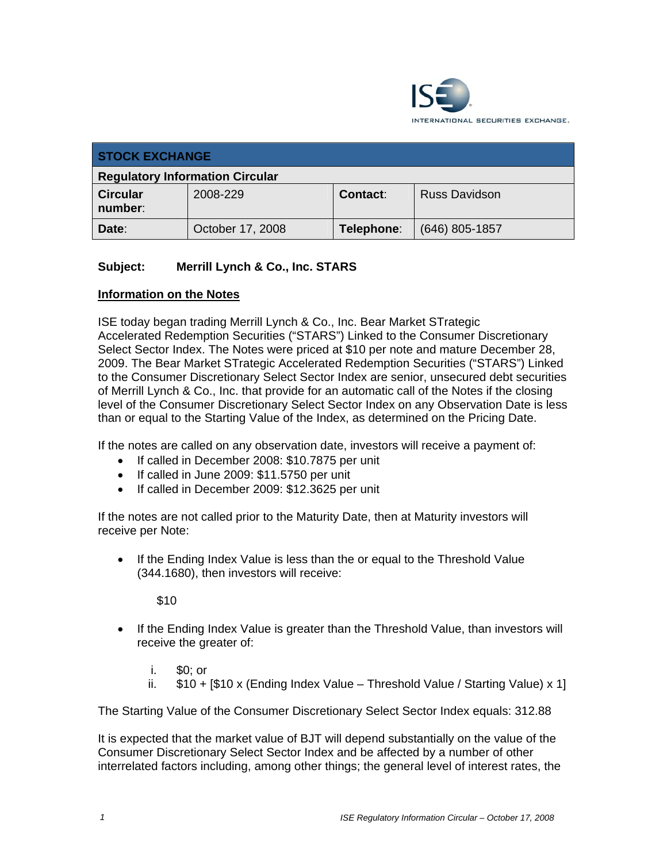

| <b>STOCK EXCHANGE</b>                  |                  |            |                      |  |
|----------------------------------------|------------------|------------|----------------------|--|
| <b>Regulatory Information Circular</b> |                  |            |                      |  |
| <b>Circular</b><br>number:             | 2008-229         | Contact:   | <b>Russ Davidson</b> |  |
| Date:                                  | October 17, 2008 | Telephone: | $(646)$ 805-1857     |  |

## **Subject: Merrill Lynch & Co., Inc. STARS**

## **Information on the Notes**

ISE today began trading Merrill Lynch & Co., Inc. Bear Market STrategic Accelerated Redemption Securities ("STARS") Linked to the Consumer Discretionary Select Sector Index. The Notes were priced at \$10 per note and mature December 28, 2009. The Bear Market STrategic Accelerated Redemption Securities ("STARS") Linked to the Consumer Discretionary Select Sector Index are senior, unsecured debt securities of Merrill Lynch & Co., Inc. that provide for an automatic call of the Notes if the closing level of the Consumer Discretionary Select Sector Index on any Observation Date is less than or equal to the Starting Value of the Index, as determined on the Pricing Date.

If the notes are called on any observation date, investors will receive a payment of:

- If called in December 2008: \$10.7875 per unit
- If called in June 2009: \$11.5750 per unit
- If called in December 2009: \$12.3625 per unit

If the notes are not called prior to the Maturity Date, then at Maturity investors will receive per Note:

• If the Ending Index Value is less than the or equal to the Threshold Value (344.1680), then investors will receive:

\$10

- If the Ending Index Value is greater than the Threshold Value, than investors will receive the greater of:
	- i. \$0; or
	- ii.  $$10 + [$10 x (Ending Index Value Threshold Value / Starting Value) x 1]$

The Starting Value of the Consumer Discretionary Select Sector Index equals: 312.88

It is expected that the market value of BJT will depend substantially on the value of the Consumer Discretionary Select Sector Index and be affected by a number of other interrelated factors including, among other things; the general level of interest rates, the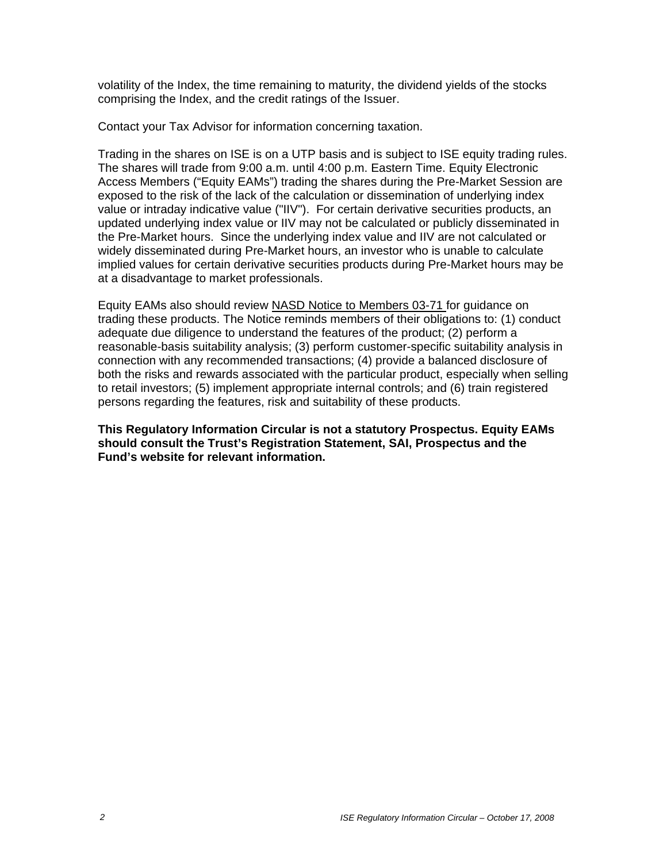volatility of the Index, the time remaining to maturity, the dividend yields of the stocks comprising the Index, and the credit ratings of the Issuer.

Contact your Tax Advisor for information concerning taxation.

Trading in the shares on ISE is on a UTP basis and is subject to ISE equity trading rules. The shares will trade from 9:00 a.m. until 4:00 p.m. Eastern Time. Equity Electronic Access Members ("Equity EAMs") trading the shares during the Pre-Market Session are exposed to the risk of the lack of the calculation or dissemination of underlying index value or intraday indicative value ("IIV"). For certain derivative securities products, an updated underlying index value or IIV may not be calculated or publicly disseminated in the Pre-Market hours. Since the underlying index value and IIV are not calculated or widely disseminated during Pre-Market hours, an investor who is unable to calculate implied values for certain derivative securities products during Pre-Market hours may be at a disadvantage to market professionals.

Equity EAMs also should review NASD Notice to Members 03-71 for guidance on trading these products. The Notice reminds members of their obligations to: (1) conduct adequate due diligence to understand the features of the product; (2) perform a reasonable-basis suitability analysis; (3) perform customer-specific suitability analysis in connection with any recommended transactions; (4) provide a balanced disclosure of both the risks and rewards associated with the particular product, especially when selling to retail investors; (5) implement appropriate internal controls; and (6) train registered persons regarding the features, risk and suitability of these products.

**This Regulatory Information Circular is not a statutory Prospectus. Equity EAMs should consult the Trust's Registration Statement, SAI, Prospectus and the Fund's website for relevant information.**